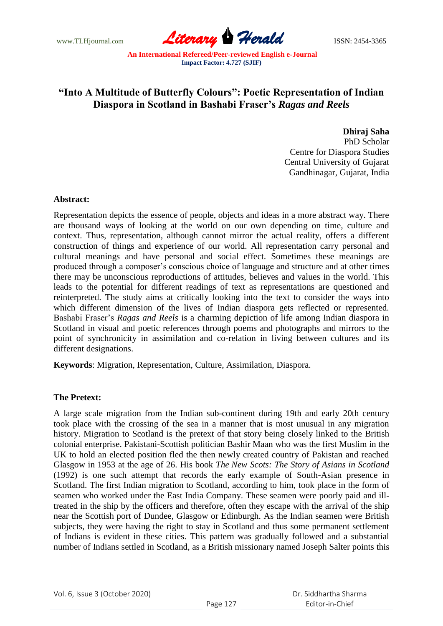www.TLHjournal.com **Literary Herald ISSN: 2454-3365** 

# **"Into A Multitude of Butterfly Colours": Poetic Representation of Indian Diaspora in Scotland in Bashabi Fraser's** *Ragas and Reels*

**Dhiraj Saha** PhD Scholar Centre for Diaspora Studies Central University of Gujarat Gandhinagar, Gujarat, India

### **Abstract:**

Representation depicts the essence of people, objects and ideas in a more abstract way. There are thousand ways of looking at the world on our own depending on time, culture and context. Thus, representation, although cannot mirror the actual reality, offers a different construction of things and experience of our world. All representation carry personal and cultural meanings and have personal and social effect. Sometimes these meanings are produced through a composer"s conscious choice of language and structure and at other times there may be unconscious reproductions of attitudes, believes and values in the world. This leads to the potential for different readings of text as representations are questioned and reinterpreted. The study aims at critically looking into the text to consider the ways into which different dimension of the lives of Indian diaspora gets reflected or represented. Bashabi Fraser"s *Ragas and Reels* is a charming depiction of life among Indian diaspora in Scotland in visual and poetic references through poems and photographs and mirrors to the point of synchronicity in assimilation and co-relation in living between cultures and its different designations.

**Keywords**: Migration, Representation, Culture, Assimilation, Diaspora.

# **The Pretext:**

A large scale migration from the Indian sub-continent during 19th and early 20th century took place with the crossing of the sea in a manner that is most unusual in any migration history. Migration to Scotland is the pretext of that story being closely linked to the British colonial enterprise. Pakistani-Scottish politician Bashir Maan who was the first Muslim in the UK to hold an elected position fled the then newly created country of Pakistan and reached Glasgow in 1953 at the age of 26. His book *The New Scots: The Story of Asians in Scotland* (1992) is one such attempt that records the early example of South-Asian presence in Scotland. The first Indian migration to Scotland, according to him, took place in the form of seamen who worked under the East India Company. These seamen were poorly paid and illtreated in the ship by the officers and therefore, often they escape with the arrival of the ship near the Scottish port of Dundee, Glasgow or Edinburgh. As the Indian seamen were British subjects, they were having the right to stay in Scotland and thus some permanent settlement of Indians is evident in these cities. This pattern was gradually followed and a substantial number of Indians settled in Scotland, as a British missionary named Joseph Salter points this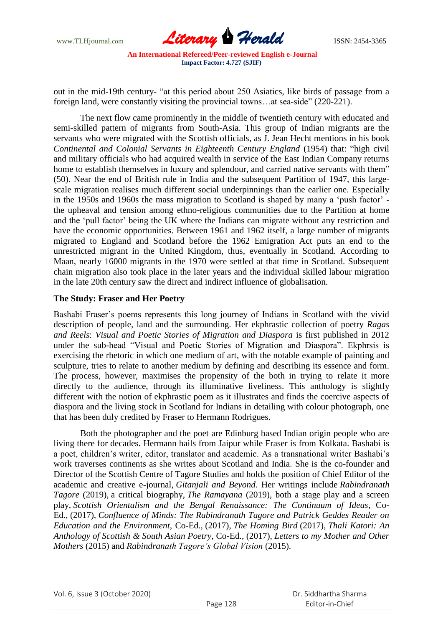

out in the mid-19th century- "at this period about 250 Asiatics, like birds of passage from a foreign land, were constantly visiting the provincial towns...at sea-side" (220-221).

The next flow came prominently in the middle of twentieth century with educated and semi-skilled pattern of migrants from South-Asia. This group of Indian migrants are the servants who were migrated with the Scottish officials, as J. Jean Hecht mentions in his book *Continental and Colonial Servants in Eighteenth Century England* (1954) that: "high civil and military officials who had acquired wealth in service of the East Indian Company returns home to establish themselves in luxury and splendour, and carried native servants with them" (50). Near the end of British rule in India and the subsequent Partition of 1947, this largescale migration realises much different social underpinnings than the earlier one. Especially in the 1950s and 1960s the mass migration to Scotland is shaped by many a "push factor" the upheaval and tension among ethno-religious communities due to the Partition at home and the "pull factor" being the UK where the Indians can migrate without any restriction and have the economic opportunities. Between 1961 and 1962 itself, a large number of migrants migrated to England and Scotland before the 1962 Emigration Act puts an end to the unrestricted migrant in the United Kingdom, thus, eventually in Scotland. According to Maan, nearly 16000 migrants in the 1970 were settled at that time in Scotland. Subsequent chain migration also took place in the later years and the individual skilled labour migration in the late 20th century saw the direct and indirect influence of globalisation.

### **The Study: Fraser and Her Poetry**

Bashabi Fraser's poems represents this long journey of Indians in Scotland with the vivid description of people, land and the surrounding. Her ekphrastic collection of poetry *Ragas and Reels*: *Visual and Poetic Stories of Migration and Diaspora* is first published in 2012 under the sub-head "Visual and Poetic Stories of Migration and Diaspora". Ekphrsis is exercising the rhetoric in which one medium of art, with the notable example of painting and sculpture, tries to relate to another medium by defining and describing its essence and form. The process, however, maximises the propensity of the both in trying to relate it more directly to the audience, through its illuminative liveliness. This anthology is slightly different with the notion of ekphrastic poem as it illustrates and finds the coercive aspects of diaspora and the living stock in Scotland for Indians in detailing with colour photograph, one that has been duly credited by Fraser to Hermann Rodrigues.

Both the photographer and the poet are Edinburg based Indian origin people who are living there for decades. Hermann hails from Jaipur while Fraser is from Kolkata. Bashabi is a poet, children"s writer, editor, translator and academic. As a transnational writer Bashabi"s work traverses continents as she writes about Scotland and India. She is the co-founder and Director of the Scottish Centre of Tagore Studies and holds the position of Chief Editor of the academic and creative e-journal, *Gitanjali and Beyond*. Her writings include *Rabindranath Tagore* (2019), a critical biography, *The Ramayana* (2019), both a stage play and a screen play, *Scottish Orientalism and the Bengal Renaissance: The Continuum of Ideas*, Co-Ed., (2017), *Confluence of Minds: The Rabindranath Tagore and Patrick Geddes Reader on Education and the Environment*, Co-Ed., (2017), *The Homing Bird* (2017), *Thali Katori: An Anthology of Scottish & South Asian Poetry*, Co-Ed., (2017), *Letters to my Mother and Other Mothers* (2015) and *Rabindranath Tagore's Global Vision* (2015).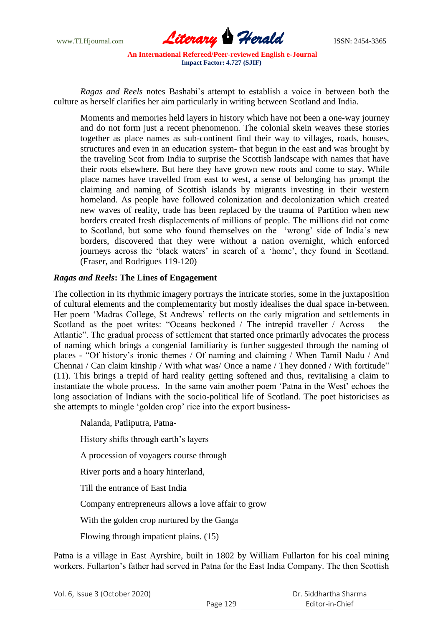

*Ragas and Reels* notes Bashabi"s attempt to establish a voice in between both the culture as herself clarifies her aim particularly in writing between Scotland and India.

Moments and memories held layers in history which have not been a one-way journey and do not form just a recent phenomenon. The colonial skein weaves these stories together as place names as sub-continent find their way to villages, roads, houses, structures and even in an education system- that begun in the east and was brought by the traveling Scot from India to surprise the Scottish landscape with names that have their roots elsewhere. But here they have grown new roots and come to stay. While place names have travelled from east to west, a sense of belonging has prompt the claiming and naming of Scottish islands by migrants investing in their western homeland. As people have followed colonization and decolonization which created new waves of reality, trade has been replaced by the trauma of Partition when new borders created fresh displacements of millions of people. The millions did not come to Scotland, but some who found themselves on the "wrong" side of India"s new borders, discovered that they were without a nation overnight, which enforced journeys across the 'black waters' in search of a 'home', they found in Scotland. (Fraser, and Rodrigues 119-120)

# *Ragas and Reels***: The Lines of Engagement**

The collection in its rhythmic imagery portrays the intricate stories, some in the juxtaposition of cultural elements and the complementarity but mostly idealises the dual space in-between. Her poem "Madras College, St Andrews" reflects on the early migration and settlements in Scotland as the poet writes: "Oceans beckoned / The intrepid traveller / Across the Atlantic". The gradual process of settlement that started once primarily advocates the process of naming which brings a congenial familiarity is further suggested through the naming of places - "Of history"s ironic themes / Of naming and claiming / When Tamil Nadu / And Chennai / Can claim kinship / With what was/ Once a name / They donned / With fortitude" (11). This brings a trepid of hard reality getting softened and thus, revitalising a claim to instantiate the whole process. In the same vain another poem 'Patna in the West' echoes the long association of Indians with the socio-political life of Scotland. The poet historicises as she attempts to mingle 'golden crop' rice into the export business-

Nalanda, Patliputra, Patna-

History shifts through earth's layers

A procession of voyagers course through

River ports and a hoary hinterland,

Till the entrance of East India

Company entrepreneurs allows a love affair to grow

With the golden crop nurtured by the Ganga

Flowing through impatient plains. (15)

Patna is a village in East Ayrshire, built in 1802 by William Fullarton for his coal mining workers. Fullarton's father had served in Patna for the East India Company. The then Scottish

|  | Vol. 6, Issue 3 (October 2020) |
|--|--------------------------------|
|--|--------------------------------|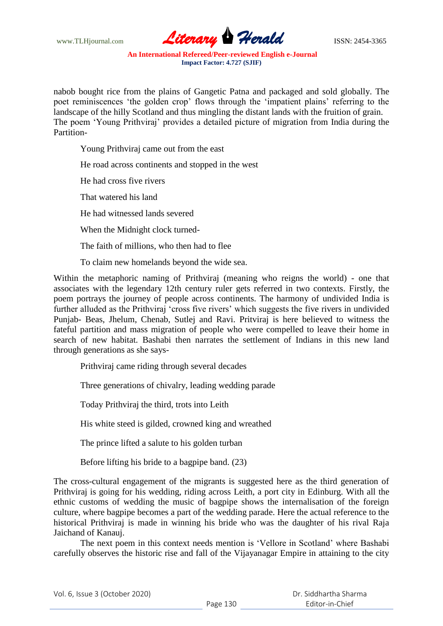www.TLHjournal.com **Literary Herald Herald ISSN: 2454-3365** 

nabob bought rice from the plains of Gangetic Patna and packaged and sold globally. The poet reminiscences "the golden crop" flows through the "impatient plains" referring to the landscape of the hilly Scotland and thus mingling the distant lands with the fruition of grain. The poem "Young Prithviraj" provides a detailed picture of migration from India during the Partition-

Young Prithviraj came out from the east

He road across continents and stopped in the west

He had cross five rivers

That watered his land

He had witnessed lands severed

When the Midnight clock turned-

The faith of millions, who then had to flee

To claim new homelands beyond the wide sea.

Within the metaphoric naming of Prithviraj (meaning who reigns the world) - one that associates with the legendary 12th century ruler gets referred in two contexts. Firstly, the poem portrays the journey of people across continents. The harmony of undivided India is further alluded as the Prithviraj 'cross five rivers' which suggests the five rivers in undivided Punjab- Beas, Jhelum, Chenab, Sutlej and Ravi. Pritviraj is here believed to witness the fateful partition and mass migration of people who were compelled to leave their home in search of new habitat. Bashabi then narrates the settlement of Indians in this new land through generations as she says-

Prithviraj came riding through several decades

Three generations of chivalry, leading wedding parade

Today Prithviraj the third, trots into Leith

His white steed is gilded, crowned king and wreathed

The prince lifted a salute to his golden turban

Before lifting his bride to a bagpipe band. (23)

The cross-cultural engagement of the migrants is suggested here as the third generation of Prithviraj is going for his wedding, riding across Leith, a port city in Edinburg. With all the ethnic customs of wedding the music of bagpipe shows the internalisation of the foreign culture, where bagpipe becomes a part of the wedding parade. Here the actual reference to the historical Prithviraj is made in winning his bride who was the daughter of his rival Raja Jaichand of Kanauj.

The next poem in this context needs mention is "Vellore in Scotland" where Bashabi carefully observes the historic rise and fall of the Vijayanagar Empire in attaining to the city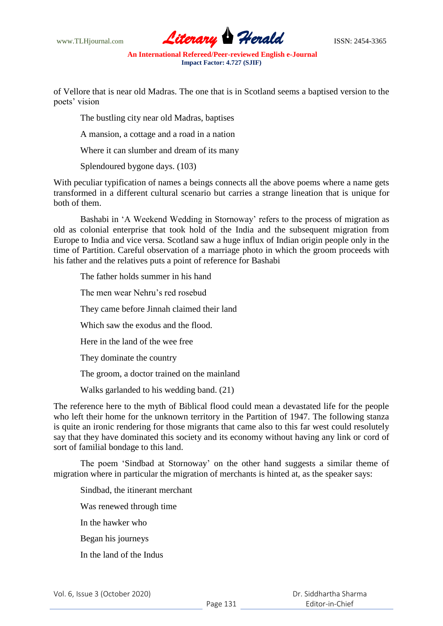www.TLHjournal.com **Literary Herald Herald** ISSN: 2454-3365

of Vellore that is near old Madras. The one that is in Scotland seems a baptised version to the poets' vision

The bustling city near old Madras, baptises

A mansion, a cottage and a road in a nation

Where it can slumber and dream of its many

Splendoured bygone days. (103)

With peculiar typification of names a beings connects all the above poems where a name gets transformed in a different cultural scenario but carries a strange lineation that is unique for both of them.

Bashabi in 'A Weekend Wedding in Stornoway' refers to the process of migration as old as colonial enterprise that took hold of the India and the subsequent migration from Europe to India and vice versa. Scotland saw a huge influx of Indian origin people only in the time of Partition. Careful observation of a marriage photo in which the groom proceeds with his father and the relatives puts a point of reference for Bashabi

The father holds summer in his hand

The men wear Nehru"s red rosebud

They came before Jinnah claimed their land

Which saw the exodus and the flood.

Here in the land of the wee free

They dominate the country

The groom, a doctor trained on the mainland

Walks garlanded to his wedding band. (21)

The reference here to the myth of Biblical flood could mean a devastated life for the people who left their home for the unknown territory in the Partition of 1947. The following stanza is quite an ironic rendering for those migrants that came also to this far west could resolutely say that they have dominated this society and its economy without having any link or cord of sort of familial bondage to this land.

The poem "Sindbad at Stornoway" on the other hand suggests a similar theme of migration where in particular the migration of merchants is hinted at, as the speaker says:

Sindbad, the itinerant merchant Was renewed through time In the hawker who Began his journeys In the land of the Indus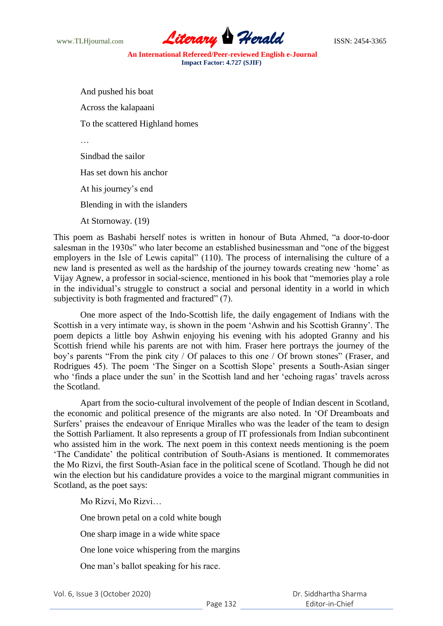www.TLHjournal.com **Literary Herald Herald** ISSN: 2454-3365

And pushed his boat Across the kalapaani To the scattered Highland homes … Sindbad the sailor Has set down his anchor At his journey's end

Blending in with the islanders

At Stornoway. (19)

This poem as Bashabi herself notes is written in honour of Buta Ahmed, "a door-to-door salesman in the 1930s" who later become an established businessman and "one of the biggest employers in the Isle of Lewis capital" (110). The process of internalising the culture of a new land is presented as well as the hardship of the journey towards creating new "home" as Vijay Agnew, a professor in social-science, mentioned in his book that "memories play a role in the individual"s struggle to construct a social and personal identity in a world in which subjectivity is both fragmented and fractured" (7).

One more aspect of the Indo-Scottish life, the daily engagement of Indians with the Scottish in a very intimate way, is shown in the poem "Ashwin and his Scottish Granny". The poem depicts a little boy Ashwin enjoying his evening with his adopted Granny and his Scottish friend while his parents are not with him. Fraser here portrays the journey of the boy"s parents "From the pink city / Of palaces to this one / Of brown stones" (Fraser, and Rodrigues 45). The poem 'The Singer on a Scottish Slope' presents a South-Asian singer who 'finds a place under the sun' in the Scottish land and her 'echoing ragas' travels across the Scotland.

Apart from the socio-cultural involvement of the people of Indian descent in Scotland, the economic and political presence of the migrants are also noted. In "Of Dreamboats and Surfers' praises the endeavour of Enrique Miralles who was the leader of the team to design the Sottish Parliament. It also represents a group of IT professionals from Indian subcontinent who assisted him in the work. The next poem in this context needs mentioning is the poem "The Candidate" the political contribution of South-Asians is mentioned. It commemorates the Mo Rizvi, the first South-Asian face in the political scene of Scotland. Though he did not win the election but his candidature provides a voice to the marginal migrant communities in Scotland, as the poet says:

Mo Rizvi, Mo Rizvi…

One brown petal on a cold white bough

One sharp image in a wide white space

One lone voice whispering from the margins

One man"s ballot speaking for his race.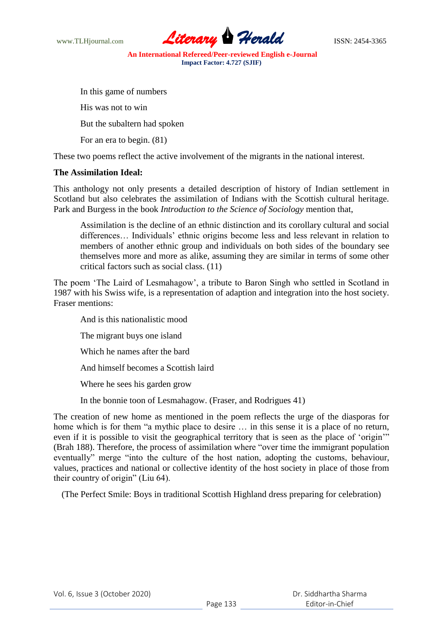

In this game of numbers

His was not to win

But the subaltern had spoken

For an era to begin. (81)

These two poems reflect the active involvement of the migrants in the national interest.

# **The Assimilation Ideal:**

This anthology not only presents a detailed description of history of Indian settlement in Scotland but also celebrates the assimilation of Indians with the Scottish cultural heritage. Park and Burgess in the book *Introduction to the Science of Sociology* mention that,

Assimilation is the decline of an ethnic distinction and its corollary cultural and social differences... Individuals' ethnic origins become less and less relevant in relation to members of another ethnic group and individuals on both sides of the boundary see themselves more and more as alike, assuming they are similar in terms of some other critical factors such as social class. (11)

The poem "The Laird of Lesmahagow", a tribute to Baron Singh who settled in Scotland in 1987 with his Swiss wife, is a representation of adaption and integration into the host society. Fraser mentions:

And is this nationalistic mood

The migrant buys one island

Which he names after the bard

And himself becomes a Scottish laird

Where he sees his garden grow

In the bonnie toon of Lesmahagow. (Fraser, and Rodrigues 41)

The creation of new home as mentioned in the poem reflects the urge of the diasporas for home which is for them "a mythic place to desire … in this sense it is a place of no return, even if it is possible to visit the geographical territory that is seen as the place of "origin"" (Brah 188). Therefore, the process of assimilation where "over time the immigrant population eventually" merge "into the culture of the host nation, adopting the customs, behaviour, values, practices and national or collective identity of the host society in place of those from their country of origin" (Liu 64).

(The Perfect Smile: Boys in traditional Scottish Highland dress preparing for celebration)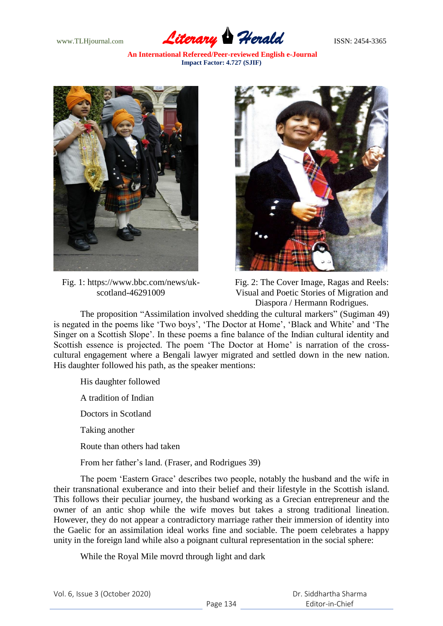www.TLHjournal.com **Literary Herald** ISSN: 2454-3365

**An International Refereed/Peer-reviewed English e-Journal Impact Factor: 4.727 (SJIF)**



Fig. 1: https://www.bbc.com/news/ukscotland-46291009



Fig. 2: The Cover Image, Ragas and Reels: Visual and Poetic Stories of Migration and Diaspora / Hermann Rodrigues.

The proposition "Assimilation involved shedding the cultural markers" (Sugiman 49) is negated in the poems like "Two boys", "The Doctor at Home", "Black and White" and "The Singer on a Scottish Slope'. In these poems a fine balance of the Indian cultural identity and Scottish essence is projected. The poem 'The Doctor at Home' is narration of the crosscultural engagement where a Bengali lawyer migrated and settled down in the new nation. His daughter followed his path, as the speaker mentions:

- His daughter followed
- A tradition of Indian
- Doctors in Scotland
- Taking another
- Route than others had taken
- From her father"s land. (Fraser, and Rodrigues 39)

The poem "Eastern Grace" describes two people, notably the husband and the wife in their transnational exuberance and into their belief and their lifestyle in the Scottish island. This follows their peculiar journey, the husband working as a Grecian entrepreneur and the owner of an antic shop while the wife moves but takes a strong traditional lineation. However, they do not appear a contradictory marriage rather their immersion of identity into the Gaelic for an assimilation ideal works fine and sociable. The poem celebrates a happy unity in the foreign land while also a poignant cultural representation in the social sphere:

While the Royal Mile movrd through light and dark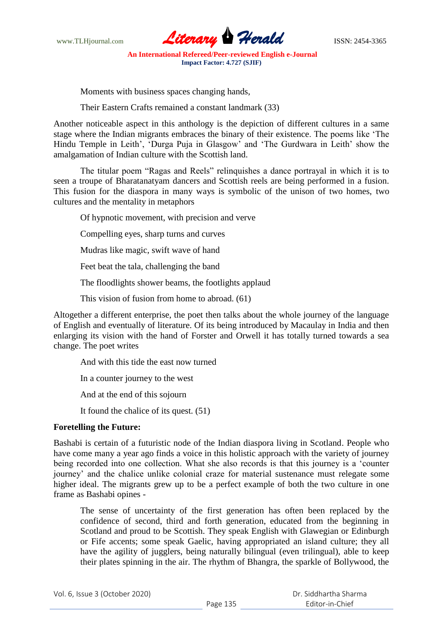www.TLHjournal.com **Literary Herald Herald** ISSN: 2454-3365

Moments with business spaces changing hands,

Their Eastern Crafts remained a constant landmark (33)

Another noticeable aspect in this anthology is the depiction of different cultures in a same stage where the Indian migrants embraces the binary of their existence. The poems like "The Hindu Temple in Leith', 'Durga Puja in Glasgow' and 'The Gurdwara in Leith' show the amalgamation of Indian culture with the Scottish land.

The titular poem "Ragas and Reels" relinquishes a dance portrayal in which it is to seen a troupe of Bharatanatyam dancers and Scottish reels are being performed in a fusion. This fusion for the diaspora in many ways is symbolic of the unison of two homes, two cultures and the mentality in metaphors

Of hypnotic movement, with precision and verve

Compelling eyes, sharp turns and curves

Mudras like magic, swift wave of hand

Feet beat the tala, challenging the band

The floodlights shower beams, the footlights applaud

This vision of fusion from home to abroad. (61)

Altogether a different enterprise, the poet then talks about the whole journey of the language of English and eventually of literature. Of its being introduced by Macaulay in India and then enlarging its vision with the hand of Forster and Orwell it has totally turned towards a sea change. The poet writes

And with this tide the east now turned

In a counter journey to the west

And at the end of this sojourn

It found the chalice of its quest. (51)

# **Foretelling the Future:**

Bashabi is certain of a futuristic node of the Indian diaspora living in Scotland. People who have come many a year ago finds a voice in this holistic approach with the variety of journey being recorded into one collection. What she also records is that this journey is a "counter journey" and the chalice unlike colonial craze for material sustenance must relegate some higher ideal. The migrants grew up to be a perfect example of both the two culture in one frame as Bashabi opines -

The sense of uncertainty of the first generation has often been replaced by the confidence of second, third and forth generation, educated from the beginning in Scotland and proud to be Scottish. They speak English with Glawegian or Edinburgh or Fife accents; some speak Gaelic, having appropriated an island culture; they all have the agility of jugglers, being naturally bilingual (even trilingual), able to keep their plates spinning in the air. The rhythm of Bhangra, the sparkle of Bollywood, the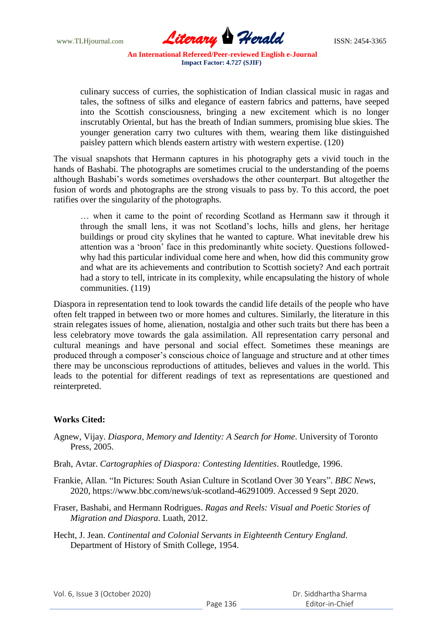

culinary success of curries, the sophistication of Indian classical music in ragas and tales, the softness of silks and elegance of eastern fabrics and patterns, have seeped into the Scottish consciousness, bringing a new excitement which is no longer inscrutably Oriental, but has the breath of Indian summers, promising blue skies. The younger generation carry two cultures with them, wearing them like distinguished paisley pattern which blends eastern artistry with western expertise. (120)

The visual snapshots that Hermann captures in his photography gets a vivid touch in the hands of Bashabi. The photographs are sometimes crucial to the understanding of the poems although Bashabi"s words sometimes overshadows the other counterpart. But altogether the fusion of words and photographs are the strong visuals to pass by. To this accord, the poet ratifies over the singularity of the photographs.

… when it came to the point of recording Scotland as Hermann saw it through it through the small lens, it was not Scotland"s lochs, hills and glens, her heritage buildings or proud city skylines that he wanted to capture. What inevitable drew his attention was a "broon" face in this predominantly white society. Questions followedwhy had this particular individual come here and when, how did this community grow and what are its achievements and contribution to Scottish society? And each portrait had a story to tell, intricate in its complexity, while encapsulating the history of whole communities. (119)

Diaspora in representation tend to look towards the candid life details of the people who have often felt trapped in between two or more homes and cultures. Similarly, the literature in this strain relegates issues of home, alienation, nostalgia and other such traits but there has been a less celebratory move towards the gala assimilation. All representation carry personal and cultural meanings and have personal and social effect. Sometimes these meanings are produced through a composer"s conscious choice of language and structure and at other times there may be unconscious reproductions of attitudes, believes and values in the world. This leads to the potential for different readings of text as representations are questioned and reinterpreted.

# **Works Cited:**

- Agnew, Vijay. *Diaspora, Memory and Identity: A Search for Home*. University of Toronto Press, 2005.
- Brah, Avtar. *Cartographies of Diaspora: Contesting Identities*. Routledge, 1996.
- Frankie, Allan. "In Pictures: South Asian Culture in Scotland Over 30 Years". *BBC News*, 2020, https://www.bbc.com/news/uk-scotland-46291009. Accessed 9 Sept 2020.
- Fraser, Bashabi, and Hermann Rodrigues. *Ragas and Reels: Visual and Poetic Stories of Migration and Diaspora*. Luath, 2012.
- Hecht, J. Jean. *Continental and Colonial Servants in Eighteenth Century England*. Department of History of Smith College, 1954.